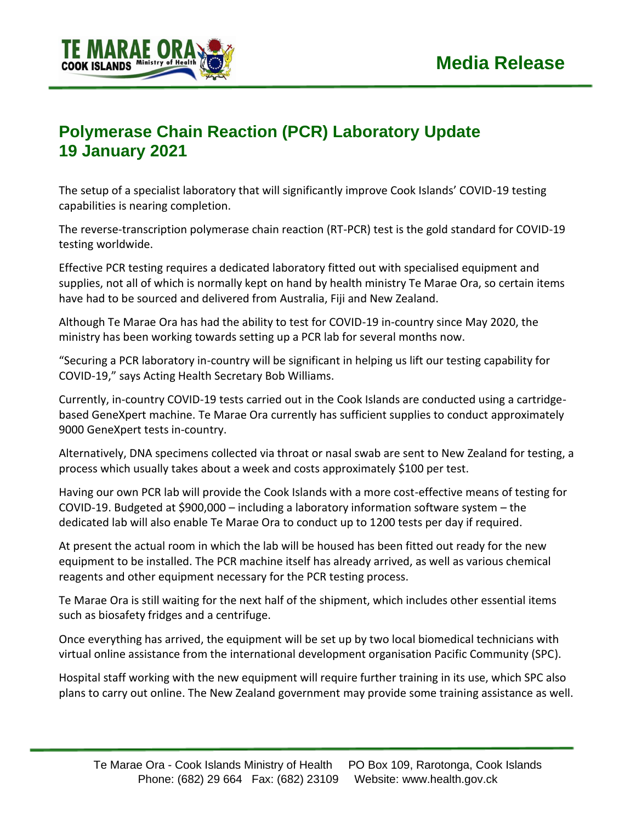

## **Polymerase Chain Reaction (PCR) Laboratory Update 19 January 2021**

The setup of a specialist laboratory that will significantly improve Cook Islands' COVID-19 testing capabilities is nearing completion.

The reverse-transcription polymerase chain reaction (RT-PCR) test is the gold standard for COVID-19 testing worldwide.

Effective PCR testing requires a dedicated laboratory fitted out with specialised equipment and supplies, not all of which is normally kept on hand by health ministry Te Marae Ora, so certain items have had to be sourced and delivered from Australia, Fiji and New Zealand.

Although Te Marae Ora has had the ability to test for COVID-19 in-country since May 2020, the ministry has been working towards setting up a PCR lab for several months now.

"Securing a PCR laboratory in-country will be significant in helping us lift our testing capability for COVID-19," says Acting Health Secretary Bob Williams.

Currently, in-country COVID-19 tests carried out in the Cook Islands are conducted using a cartridgebased GeneXpert machine. Te Marae Ora currently has sufficient supplies to conduct approximately 9000 GeneXpert tests in-country.

Alternatively, DNA specimens collected via throat or nasal swab are sent to New Zealand for testing, a process which usually takes about a week and costs approximately \$100 per test.

Having our own PCR lab will provide the Cook Islands with a more cost-effective means of testing for COVID-19. Budgeted at \$900,000 – including a laboratory information software system – the dedicated lab will also enable Te Marae Ora to conduct up to 1200 tests per day if required.

At present the actual room in which the lab will be housed has been fitted out ready for the new equipment to be installed. The PCR machine itself has already arrived, as well as various chemical reagents and other equipment necessary for the PCR testing process.

Te Marae Ora is still waiting for the next half of the shipment, which includes other essential items such as biosafety fridges and a centrifuge.

Once everything has arrived, the equipment will be set up by two local biomedical technicians with virtual online assistance from the international development organisation Pacific Community (SPC).

Hospital staff working with the new equipment will require further training in its use, which SPC also plans to carry out online. The New Zealand government may provide some training assistance as well.